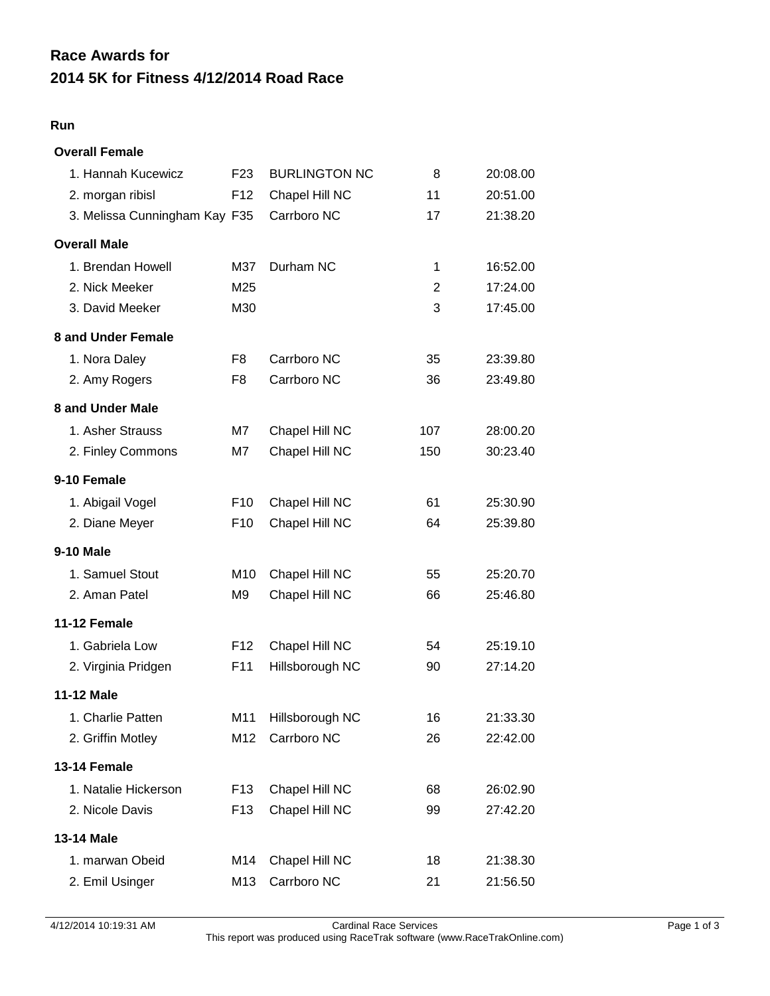## **2014 5K for Fitness 4/12/2014 Road Race Race Awards for**

## **Run**

| <b>Overall Female</b>         |                 |                      |     |          |
|-------------------------------|-----------------|----------------------|-----|----------|
| 1. Hannah Kucewicz            | F <sub>23</sub> | <b>BURLINGTON NC</b> | 8   | 20:08.00 |
| 2. morgan ribisl              | F <sub>12</sub> | Chapel Hill NC       | 11  | 20:51.00 |
| 3. Melissa Cunningham Kay F35 |                 | Carrboro NC          | 17  | 21:38.20 |
| <b>Overall Male</b>           |                 |                      |     |          |
| 1. Brendan Howell             | M37             | Durham NC            | 1   | 16:52.00 |
| 2. Nick Meeker                | M25             |                      | 2   | 17:24.00 |
| 3. David Meeker               | M30             |                      | 3   | 17:45.00 |
| 8 and Under Female            |                 |                      |     |          |
| 1. Nora Daley                 | F <sub>8</sub>  | Carrboro NC          | 35  | 23:39.80 |
| 2. Amy Rogers                 | F <sub>8</sub>  | Carrboro NC          | 36  | 23:49.80 |
| 8 and Under Male              |                 |                      |     |          |
| 1. Asher Strauss              | M7              | Chapel Hill NC       | 107 | 28:00.20 |
| 2. Finley Commons             | M7              | Chapel Hill NC       | 150 | 30:23.40 |
| 9-10 Female                   |                 |                      |     |          |
| 1. Abigail Vogel              | F <sub>10</sub> | Chapel Hill NC       | 61  | 25:30.90 |
| 2. Diane Meyer                | F <sub>10</sub> | Chapel Hill NC       | 64  | 25:39.80 |
| <b>9-10 Male</b>              |                 |                      |     |          |
| 1. Samuel Stout               | M <sub>10</sub> | Chapel Hill NC       | 55  | 25:20.70 |
| 2. Aman Patel                 | M9              | Chapel Hill NC       | 66  | 25:46.80 |
| 11-12 Female                  |                 |                      |     |          |
| 1. Gabriela Low               | F <sub>12</sub> | Chapel Hill NC       | 54  | 25:19.10 |
| 2. Virginia Pridgen           | F11             | Hillsborough NC      | 90  | 27:14.20 |
| <b>11-12 Male</b>             |                 |                      |     |          |
| 1. Charlie Patten             | M11             | Hillsborough NC      | 16  | 21:33.30 |
| 2. Griffin Motley             | M12             | Carrboro NC          | 26  | 22:42.00 |
| 13-14 Female                  |                 |                      |     |          |
| 1. Natalie Hickerson          | F <sub>13</sub> | Chapel Hill NC       | 68  | 26:02.90 |
| 2. Nicole Davis               | F <sub>13</sub> | Chapel Hill NC       | 99  | 27:42.20 |
| 13-14 Male                    |                 |                      |     |          |
| 1. marwan Obeid               | M14             | Chapel Hill NC       | 18  | 21:38.30 |
| 2. Emil Usinger               | M13             | Carrboro NC          | 21  | 21:56.50 |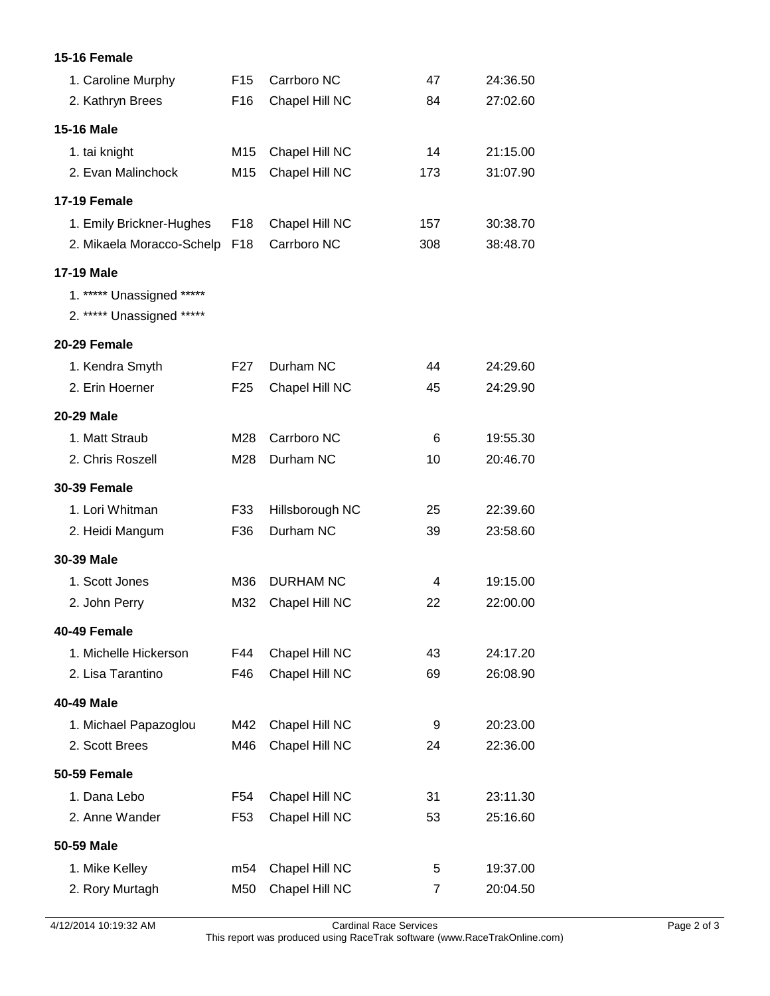## **15-16 Female**

| 1. Caroline Murphy        | F <sub>15</sub> | Carrboro NC      | 47             | 24:36.50 |
|---------------------------|-----------------|------------------|----------------|----------|
| 2. Kathryn Brees          | F <sub>16</sub> | Chapel Hill NC   | 84             | 27:02.60 |
| <b>15-16 Male</b>         |                 |                  |                |          |
| 1. tai knight             | M <sub>15</sub> | Chapel Hill NC   | 14             | 21:15.00 |
| 2. Evan Malinchock        | M <sub>15</sub> | Chapel Hill NC   | 173            | 31:07.90 |
| <b>17-19 Female</b>       |                 |                  |                |          |
| 1. Emily Brickner-Hughes  | F <sub>18</sub> | Chapel Hill NC   | 157            | 30:38.70 |
| 2. Mikaela Moracco-Schelp | F <sub>18</sub> | Carrboro NC      | 308            | 38:48.70 |
| <b>17-19 Male</b>         |                 |                  |                |          |
| 1. ***** Unassigned ***** |                 |                  |                |          |
| 2. ***** Unassigned ***** |                 |                  |                |          |
| 20-29 Female              |                 |                  |                |          |
| 1. Kendra Smyth           | F <sub>27</sub> | Durham NC        | 44             | 24:29.60 |
| 2. Erin Hoerner           | F <sub>25</sub> | Chapel Hill NC   | 45             | 24:29.90 |
| <b>20-29 Male</b>         |                 |                  |                |          |
| 1. Matt Straub            | M28             | Carrboro NC      | 6              | 19:55.30 |
| 2. Chris Roszell          | M28             | Durham NC        | 10             | 20:46.70 |
| <b>30-39 Female</b>       |                 |                  |                |          |
| 1. Lori Whitman           | F33             | Hillsborough NC  | 25             | 22:39.60 |
| 2. Heidi Mangum           | F36             | Durham NC        | 39             | 23:58.60 |
| 30-39 Male                |                 |                  |                |          |
| 1. Scott Jones            | M36             | <b>DURHAM NC</b> | 4              | 19:15.00 |
| 2. John Perry             | M32             | Chapel Hill NC   | 22             | 22:00.00 |
| 40-49 Female              |                 |                  |                |          |
| 1. Michelle Hickerson     | F44             | Chapel Hill NC   | 43             | 24:17.20 |
| 2. Lisa Tarantino         | F46             | Chapel Hill NC   | 69             | 26:08.90 |
| 40-49 Male                |                 |                  |                |          |
| 1. Michael Papazoglou     | M42             | Chapel Hill NC   | 9              | 20:23.00 |
| 2. Scott Brees            | M46             | Chapel Hill NC   | 24             | 22:36.00 |
| <b>50-59 Female</b>       |                 |                  |                |          |
| 1. Dana Lebo              | F54             | Chapel Hill NC   | 31             | 23:11.30 |
| 2. Anne Wander            | F <sub>53</sub> | Chapel Hill NC   | 53             | 25:16.60 |
| 50-59 Male                |                 |                  |                |          |
| 1. Mike Kelley            | m54             | Chapel Hill NC   | 5              | 19:37.00 |
| 2. Rory Murtagh           | M50             | Chapel Hill NC   | $\overline{7}$ | 20:04.50 |